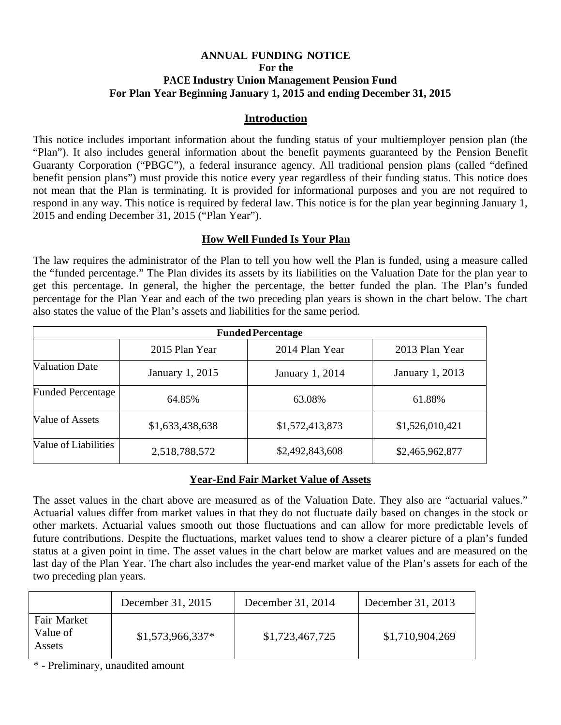# **ANNUAL FUNDING NOTICE For the PACE Industry Union Management Pension Fund For Plan Year Beginning January 1, 2015 and ending December 31, 2015**

### **Introduction**

This notice includes important information about the funding status of your multiemployer pension plan (the "Plan"). It also includes general information about the benefit payments guaranteed by the Pension Benefit Guaranty Corporation ("PBGC"), a federal insurance agency. All traditional pension plans (called "defined benefit pension plans") must provide this notice every year regardless of their funding status. This notice does not mean that the Plan is terminating. It is provided for informational purposes and you are not required to respond in any way. This notice is required by federal law. This notice is for the plan year beginning January 1, 2015 and ending December 31, 2015 ("Plan Year").

# **How Well Funded Is Your Plan**

The law requires the administrator of the Plan to tell you how well the Plan is funded, using a measure called the "funded percentage." The Plan divides its assets by its liabilities on the Valuation Date for the plan year to get this percentage. In general, the higher the percentage, the better funded the plan. The Plan's funded percentage for the Plan Year and each of the two preceding plan years is shown in the chart below. The chart also states the value of the Plan's assets and liabilities for the same period.

| <b>Funded Percentage</b> |                 |                 |                 |  |  |
|--------------------------|-----------------|-----------------|-----------------|--|--|
|                          | 2015 Plan Year  | 2014 Plan Year  | 2013 Plan Year  |  |  |
| <b>Valuation Date</b>    | January 1, 2015 | January 1, 2014 | January 1, 2013 |  |  |
| <b>Funded Percentage</b> | 64.85%          | 63.08%          | 61.88%          |  |  |
| Value of Assets          | \$1,633,438,638 | \$1,572,413,873 | \$1,526,010,421 |  |  |
| Value of Liabilities     | 2,518,788,572   | \$2,492,843,608 | \$2,465,962,877 |  |  |

# **Year-End Fair Market Value of Assets**

The asset values in the chart above are measured as of the Valuation Date. They also are "actuarial values." Actuarial values differ from market values in that they do not fluctuate daily based on changes in the stock or other markets. Actuarial values smooth out those fluctuations and can allow for more predictable levels of future contributions. Despite the fluctuations, market values tend to show a clearer picture of a plan's funded status at a given point in time. The asset values in the chart below are market values and are measured on the last day of the Plan Year. The chart also includes the year-end market value of the Plan's assets for each of the two preceding plan years.

|                                   | December 31, 2015 | December 31, 2014 | December 31, 2013 |
|-----------------------------------|-------------------|-------------------|-------------------|
| Fair Market<br>Value of<br>Assets | $$1,573,966,337*$ | \$1,723,467,725   | \$1,710,904,269   |

\* - Preliminary, unaudited amount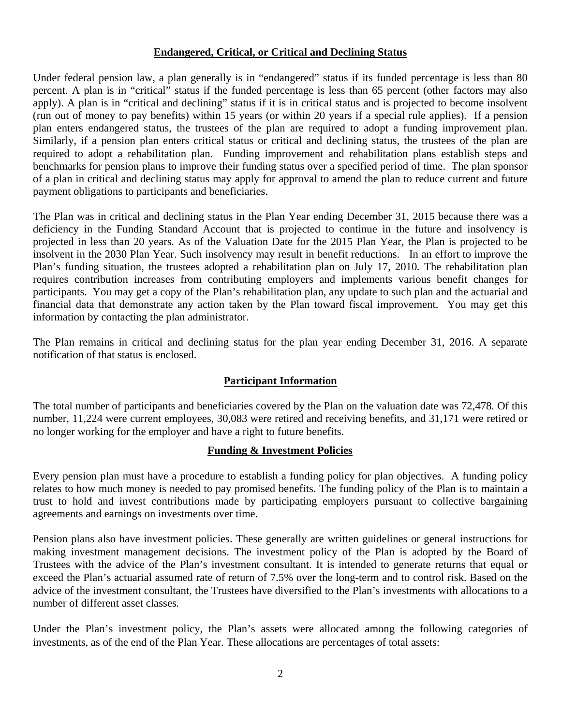### **Endangered, Critical, or Critical and Declining Status**

Under federal pension law, a plan generally is in "endangered" status if its funded percentage is less than 80 percent. A plan is in "critical" status if the funded percentage is less than 65 percent (other factors may also apply). A plan is in "critical and declining" status if it is in critical status and is projected to become insolvent (run out of money to pay benefits) within 15 years (or within 20 years if a special rule applies). If a pension plan enters endangered status, the trustees of the plan are required to adopt a funding improvement plan. Similarly, if a pension plan enters critical status or critical and declining status, the trustees of the plan are required to adopt a rehabilitation plan. Funding improvement and rehabilitation plans establish steps and benchmarks for pension plans to improve their funding status over a specified period of time. The plan sponsor of a plan in critical and declining status may apply for approval to amend the plan to reduce current and future payment obligations to participants and beneficiaries.

The Plan was in critical and declining status in the Plan Year ending December 31, 2015 because there was a deficiency in the Funding Standard Account that is projected to continue in the future and insolvency is projected in less than 20 years*.* As of the Valuation Date for the 2015 Plan Year, the Plan is projected to be insolvent in the 2030 Plan Year. Such insolvency may result in benefit reductions. In an effort to improve the Plan's funding situation, the trustees adopted a rehabilitation plan on July 17, 2010*.* The rehabilitation plan requires contribution increases from contributing employers and implements various benefit changes for participants. You may get a copy of the Plan's rehabilitation plan, any update to such plan and the actuarial and financial data that demonstrate any action taken by the Plan toward fiscal improvement. You may get this information by contacting the plan administrator.

The Plan remains in critical and declining status for the plan year ending December 31, 2016. A separate notification of that status is enclosed.

# **Participant Information**

The total number of participants and beneficiaries covered by the Plan on the valuation date was 72,478*.* Of this number, 11,224 were current employees, 30,083 were retired and receiving benefits, and 31,171 were retired or no longer working for the employer and have a right to future benefits.

#### **Funding & Investment Policies**

Every pension plan must have a procedure to establish a funding policy for plan objectives. A funding policy relates to how much money is needed to pay promised benefits. The funding policy of the Plan is to maintain a trust to hold and invest contributions made by participating employers pursuant to collective bargaining agreements and earnings on investments over time.

Pension plans also have investment policies. These generally are written guidelines or general instructions for making investment management decisions. The investment policy of the Plan is adopted by the Board of Trustees with the advice of the Plan's investment consultant. It is intended to generate returns that equal or exceed the Plan's actuarial assumed rate of return of 7.5% over the long-term and to control risk. Based on the advice of the investment consultant, the Trustees have diversified to the Plan's investments with allocations to a number of different asset classes*.* 

Under the Plan's investment policy, the Plan's assets were allocated among the following categories of investments, as of the end of the Plan Year. These allocations are percentages of total assets: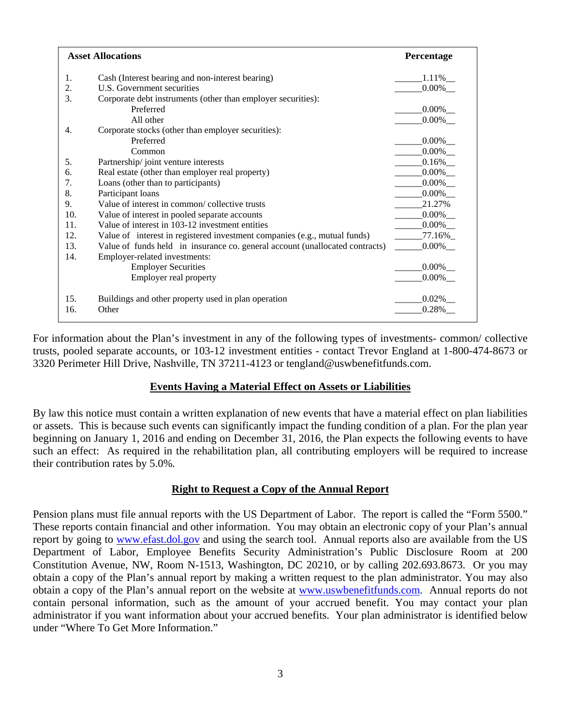| <b>Asset Allocations</b> | Percentage                                                                   |                         |
|--------------------------|------------------------------------------------------------------------------|-------------------------|
| 1.                       | Cash (Interest bearing and non-interest bearing)                             | $1.11\%$                |
| 2.                       | U.S. Government securities                                                   | 0.00%                   |
| 3.                       | Corporate debt instruments (other than employer securities):                 |                         |
|                          | Preferred                                                                    | $0.00\%$                |
|                          | All other                                                                    | $0.00\%$                |
| 4.                       | Corporate stocks (other than employer securities):                           |                         |
|                          | Preferred                                                                    | $0.00\%$                |
|                          | Common                                                                       | $0.00\%$                |
| 5.                       | Partnership/joint venture interests                                          | $0.16\%$ <sub>__</sub>  |
| 6.                       | Real estate (other than employer real property)                              | $0.00\%$                |
| 7.                       | Loans (other than to participants)                                           | $0.00\%$                |
| 8.                       | Participant loans                                                            | $0.00\%$                |
| 9.                       | Value of interest in common/collective trusts                                | 21.27%                  |
| 10.                      | Value of interest in pooled separate accounts                                | 0.00%                   |
| 11.                      | Value of interest in 103-12 investment entities                              | $0.00\%$ <sub>___</sub> |
| 12.                      | Value of interest in registered investment companies (e.g., mutual funds)    | $77.16\%$               |
| 13.                      | Value of funds held in insurance co. general account (unallocated contracts) | $.000\%$                |
| 14.                      | Employer-related investments:                                                |                         |
|                          | <b>Employer Securities</b>                                                   | $.000\%$                |
|                          | Employer real property                                                       | $0.00\%$                |
| 15.                      | Buildings and other property used in plan operation                          | $0.02\%$                |
| 16.                      | Other                                                                        | 0.28%                   |

For information about the Plan's investment in any of the following types of investments- common/ collective trusts, pooled separate accounts, or 103-12 investment entities - contact Trevor England at 1-800-474-8673 or 3320 Perimeter Hill Drive, Nashville, TN 37211-4123 or tengland@uswbenefitfunds.com.

#### **Events Having a Material Effect on Assets or Liabilities**

By law this notice must contain a written explanation of new events that have a material effect on plan liabilities or assets. This is because such events can significantly impact the funding condition of a plan. For the plan year beginning on January 1, 2016 and ending on December 31, 2016*,* the Plan expects the following events to have such an effect: As required in the rehabilitation plan, all contributing employers will be required to increase their contribution rates by 5.0%*.*

#### **Right to Request a Copy of the Annual Report**

Pension plans must file annual reports with the US Department of Labor. The report is called the "Form 5500." These reports contain financial and other information. You may obtain an electronic copy of your Plan's annual report by going to www.efast.dol.gov and using the search tool. Annual reports also are available from the US Department of Labor, Employee Benefits Security Administration's Public Disclosure Room at 200 Constitution Avenue, NW, Room N-1513, Washington, DC 20210, or by calling 202.693.8673. Or you may obtain a copy of the Plan's annual report by making a written request to the plan administrator. You may also obtain a copy of the Plan's annual report on the website at www.uswbenefitfunds.com. Annual reports do not contain personal information, such as the amount of your accrued benefit. You may contact your plan administrator if you want information about your accrued benefits. Your plan administrator is identified below under "Where To Get More Information."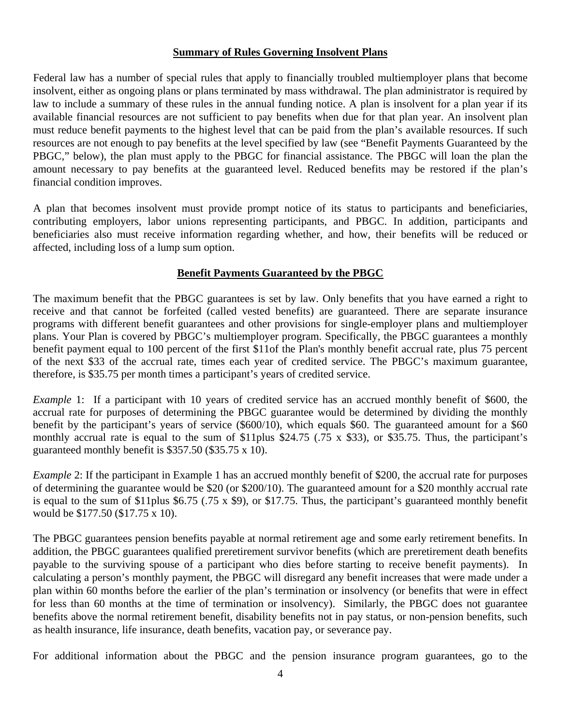### **Summary of Rules Governing Insolvent Plans**

Federal law has a number of special rules that apply to financially troubled multiemployer plans that become insolvent, either as ongoing plans or plans terminated by mass withdrawal. The plan administrator is required by law to include a summary of these rules in the annual funding notice. A plan is insolvent for a plan year if its available financial resources are not sufficient to pay benefits when due for that plan year. An insolvent plan must reduce benefit payments to the highest level that can be paid from the plan's available resources. If such resources are not enough to pay benefits at the level specified by law (see "Benefit Payments Guaranteed by the PBGC," below), the plan must apply to the PBGC for financial assistance. The PBGC will loan the plan the amount necessary to pay benefits at the guaranteed level. Reduced benefits may be restored if the plan's financial condition improves.

A plan that becomes insolvent must provide prompt notice of its status to participants and beneficiaries, contributing employers, labor unions representing participants, and PBGC. In addition, participants and beneficiaries also must receive information regarding whether, and how, their benefits will be reduced or affected, including loss of a lump sum option.

### **Benefit Payments Guaranteed by the PBGC**

The maximum benefit that the PBGC guarantees is set by law. Only benefits that you have earned a right to receive and that cannot be forfeited (called vested benefits) are guaranteed. There are separate insurance programs with different benefit guarantees and other provisions for single-employer plans and multiemployer plans. Your Plan is covered by PBGC's multiemployer program. Specifically, the PBGC guarantees a monthly benefit payment equal to 100 percent of the first \$11of the Plan's monthly benefit accrual rate, plus 75 percent of the next \$33 of the accrual rate, times each year of credited service. The PBGC's maximum guarantee, therefore, is \$35.75 per month times a participant's years of credited service.

*Example* 1: If a participant with 10 years of credited service has an accrued monthly benefit of \$600, the accrual rate for purposes of determining the PBGC guarantee would be determined by dividing the monthly benefit by the participant's years of service (\$600/10), which equals \$60. The guaranteed amount for a \$60 monthly accrual rate is equal to the sum of \$11plus \$24.75 (.75 x \$33), or \$35.75. Thus, the participant's guaranteed monthly benefit is \$357.50 (\$35.75 x 10).

*Example 2*: If the participant in Example 1 has an accrued monthly benefit of \$200, the accrual rate for purposes of determining the guarantee would be \$20 (or \$200/10). The guaranteed amount for a \$20 monthly accrual rate is equal to the sum of \$11plus \$6.75 (.75 x \$9), or \$17.75. Thus, the participant's guaranteed monthly benefit would be \$177.50 (\$17.75 x 10).

The PBGC guarantees pension benefits payable at normal retirement age and some early retirement benefits. In addition, the PBGC guarantees qualified preretirement survivor benefits (which are preretirement death benefits payable to the surviving spouse of a participant who dies before starting to receive benefit payments). In calculating a person's monthly payment, the PBGC will disregard any benefit increases that were made under a plan within 60 months before the earlier of the plan's termination or insolvency (or benefits that were in effect for less than 60 months at the time of termination or insolvency). Similarly, the PBGC does not guarantee benefits above the normal retirement benefit, disability benefits not in pay status, or non-pension benefits, such as health insurance, life insurance, death benefits, vacation pay, or severance pay.

For additional information about the PBGC and the pension insurance program guarantees, go to the